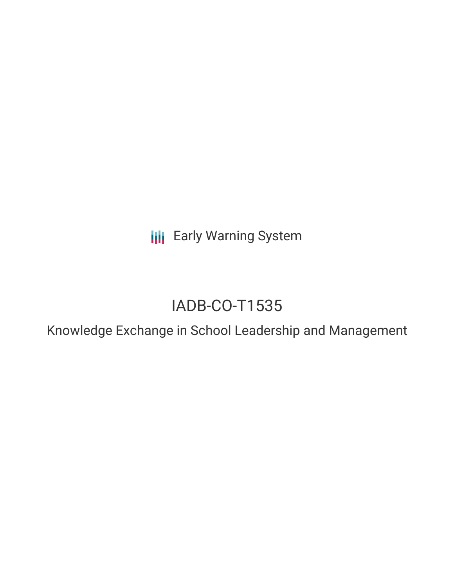**III** Early Warning System

# IADB-CO-T1535

Knowledge Exchange in School Leadership and Management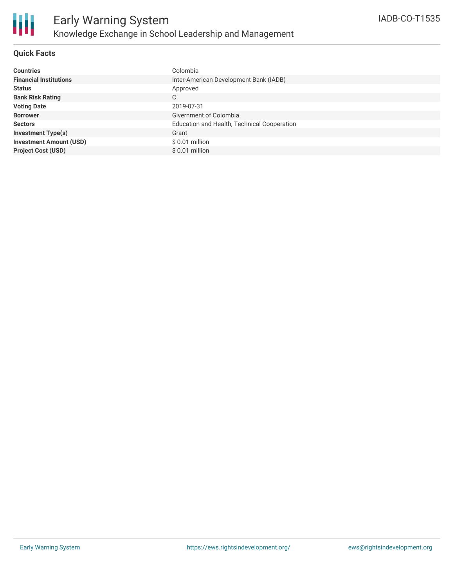

### **Quick Facts**

| <b>Countries</b>               | Colombia                                    |
|--------------------------------|---------------------------------------------|
| <b>Financial Institutions</b>  | Inter-American Development Bank (IADB)      |
| <b>Status</b>                  | Approved                                    |
| <b>Bank Risk Rating</b>        | C                                           |
| <b>Voting Date</b>             | 2019-07-31                                  |
| <b>Borrower</b>                | Givernment of Colombia                      |
| <b>Sectors</b>                 | Education and Health, Technical Cooperation |
| <b>Investment Type(s)</b>      | Grant                                       |
| <b>Investment Amount (USD)</b> | $$0.01$ million                             |
| <b>Project Cost (USD)</b>      | $$0.01$ million                             |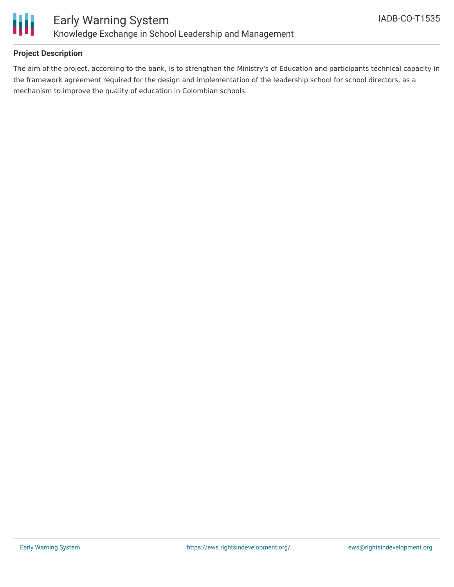

## **Project Description**

The aim of the project, according to the bank, is to strengthen the Ministry's of Education and participants technical capacity in the framework agreement required for the design and implementation of the leadership school for school directors, as a mechanism to improve the quality of education in Colombian schools.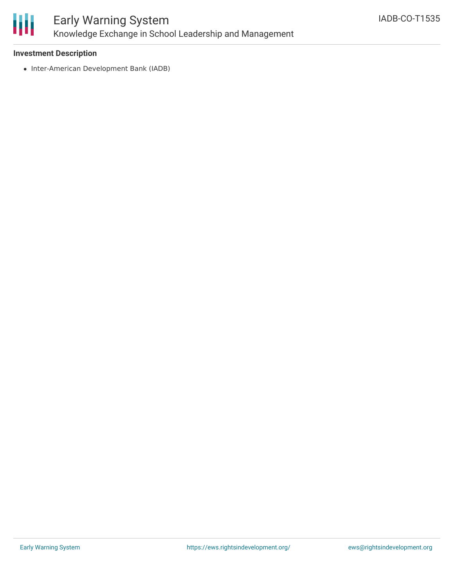

### **Investment Description**

• Inter-American Development Bank (IADB)